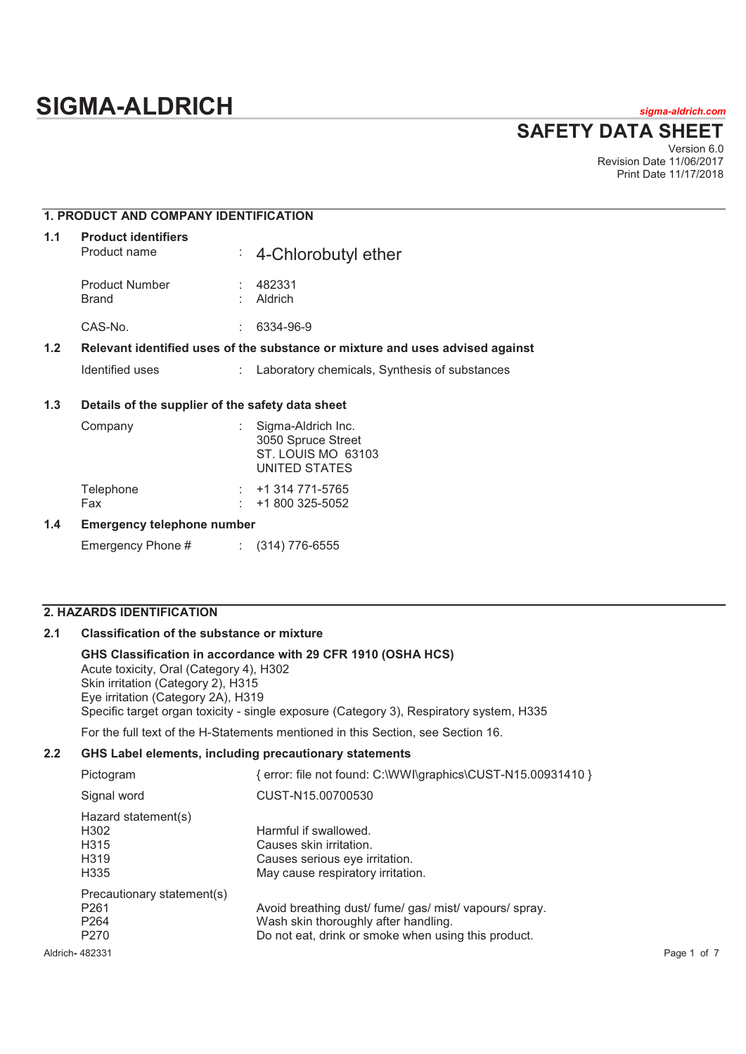**SAFETY DATA SHEET**

Version 6.0 Revision Date 11/06/2017 Print Date 11/17/2018

## **1. PRODUCT AND COMPANY IDENTIFICATION**

| 1.1 | <b>Product identifiers</b><br>Product name |   | $\div$ 4-Chlorobutyl ether                                                    |
|-----|--------------------------------------------|---|-------------------------------------------------------------------------------|
|     | <b>Product Number</b><br><b>Brand</b>      | ÷ | 482331<br>Aldrich                                                             |
|     | CAS-No.                                    | ۰ | 6334-96-9                                                                     |
| 1.2 |                                            |   | Relevant identified uses of the substance or mixture and uses advised against |
|     | Identified uses                            | ÷ | Laboratory chemicals, Synthesis of substances                                 |
|     |                                            |   |                                                                               |

## **1.3 Details of the supplier of the safety data sheet**

| Company                    |  | Sigma-Aldrich Inc.<br>3050 Spruce Street<br>ST. LOUIS MO 63103<br>UNITED STATES |  |  |
|----------------------------|--|---------------------------------------------------------------------------------|--|--|
| Telephone                  |  | $: +1314771 - 5765$                                                             |  |  |
| Fax                        |  | $: 1800325-5052$                                                                |  |  |
| Emarganay talanhana numbar |  |                                                                                 |  |  |

## **1.4 Emergency telephone number**

Emergency Phone # : (314) 776-6555

## **2. HAZARDS IDENTIFICATION**

### **2.1 Classification of the substance or mixture**

### **GHS Classification in accordance with 29 CFR 1910 (OSHA HCS)**  Acute toxicity, Oral (Category 4), H302 Skin irritation (Category 2), H315 Eye irritation (Category 2A), H319 Specific target organ toxicity - single exposure (Category 3), Respiratory system, H335

For the full text of the H-Statements mentioned in this Section, see Section 16.

## **2.2 GHS Label elements, including precautionary statements**

| Pictogram                  | error: file not found: C:\WWI\graphics\CUST-N15.00931410 } |             |
|----------------------------|------------------------------------------------------------|-------------|
| Signal word                | CUST-N15.00700530                                          |             |
| Hazard statement(s)        |                                                            |             |
| H <sub>302</sub>           | Harmful if swallowed.                                      |             |
| H315                       | Causes skin irritation.                                    |             |
| H <sub>3</sub> 19          | Causes serious eye irritation.                             |             |
| H335                       | May cause respiratory irritation.                          |             |
| Precautionary statement(s) |                                                            |             |
| P <sub>261</sub>           | Avoid breathing dust/ fume/ gas/ mist/ vapours/ spray.     |             |
| P <sub>264</sub>           | Wash skin thoroughly after handling.                       |             |
| P <sub>270</sub>           | Do not eat, drink or smoke when using this product.        |             |
| Aldrich- 482331            |                                                            | Page 1 of 7 |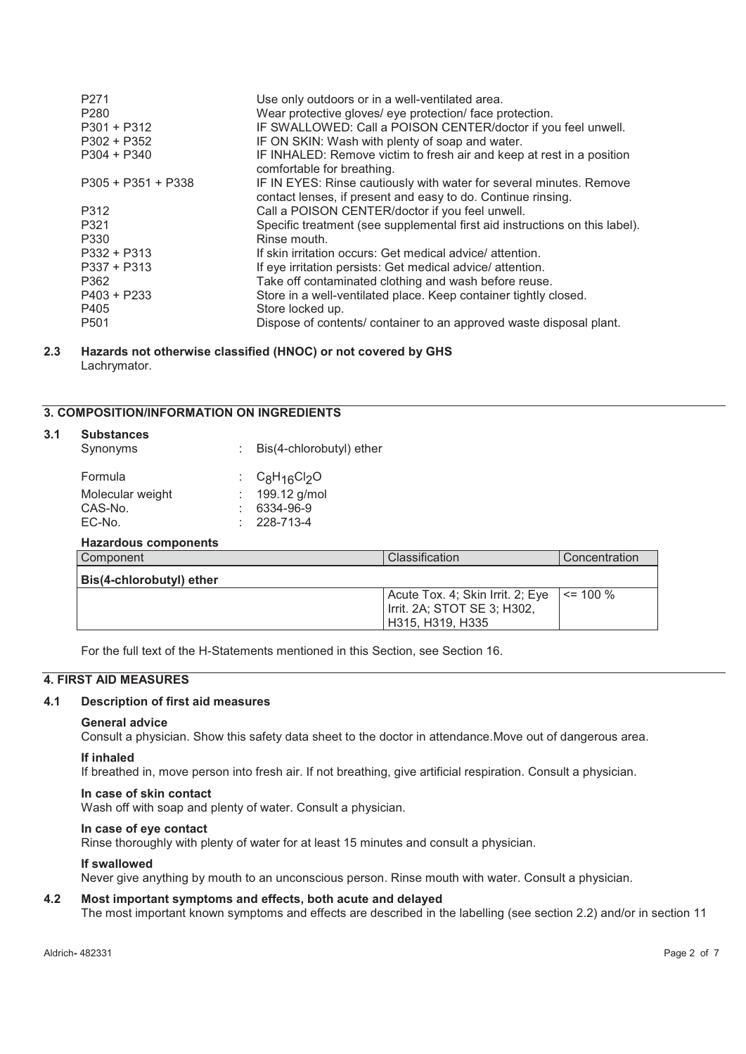| P <sub>271</sub><br>P <sub>280</sub><br>$P301 + P312$<br>$P302 + P352$ | Use only outdoors or in a well-ventilated area.<br>Wear protective gloves/ eye protection/ face protection.<br>IF SWALLOWED: Call a POISON CENTER/doctor if you feel unwell. |
|------------------------------------------------------------------------|------------------------------------------------------------------------------------------------------------------------------------------------------------------------------|
| $P304 + P340$                                                          | IF ON SKIN: Wash with plenty of soap and water.<br>IF INHALED: Remove victim to fresh air and keep at rest in a position<br>comfortable for breathing.                       |
| $P305 + P351 + P338$                                                   | IF IN EYES: Rinse cautiously with water for several minutes. Remove<br>contact lenses, if present and easy to do. Continue rinsing.                                          |
| P312                                                                   | Call a POISON CENTER/doctor if you feel unwell.                                                                                                                              |
| P321                                                                   | Specific treatment (see supplemental first aid instructions on this label).                                                                                                  |
| P330                                                                   | Rinse mouth.                                                                                                                                                                 |
| $P332 + P313$                                                          | If skin irritation occurs: Get medical advice/ attention.                                                                                                                    |
| $P337 + P313$                                                          | If eye irritation persists: Get medical advice/attention.                                                                                                                    |
| P362                                                                   | Take off contaminated clothing and wash before reuse.                                                                                                                        |
| $P403 + P233$                                                          | Store in a well-ventilated place. Keep container tightly closed.                                                                                                             |
| P405                                                                   | Store locked up.                                                                                                                                                             |
| P <sub>501</sub>                                                       | Dispose of contents/ container to an approved waste disposal plant.                                                                                                          |

### **2.3 Hazards not otherwise classified (HNOC) or not covered by GHS**  Lachrymator.

## **3. COMPOSITION/INFORMATION ON INGREDIENTS**

| 3.1 | <b>Substances</b><br>Synonyms                    | ٠ | Bis(4-chlorobutyl) ether                                   |                                                                                     |               |
|-----|--------------------------------------------------|---|------------------------------------------------------------|-------------------------------------------------------------------------------------|---------------|
|     | Formula<br>Molecular weight<br>CAS-No.<br>EC-No. |   | $C_8H_{16}Cl_2O$<br>199.12 g/mol<br>6334-96-9<br>228-713-4 |                                                                                     |               |
|     | Hazardous components                             |   |                                                            |                                                                                     |               |
|     | Component                                        |   |                                                            | Classification                                                                      | Concentration |
|     | Bis(4-chlorobutyl) ether                         |   |                                                            |                                                                                     |               |
|     |                                                  |   |                                                            | Acute Tox. 4; Skin Irrit. 2; Eye<br>Irrit. 2A; STOT SE 3; H302,<br>H315, H319, H335 | $\leq$ 100 %  |

For the full text of the H-Statements mentioned in this Section, see Section 16.

## **4. FIRST AID MEASURES**

#### **4.1 Description of first aid measures**

#### **General advice**

Consult a physician. Show this safety data sheet to the doctor in attendance.Move out of dangerous area.

#### **If inhaled**

If breathed in, move person into fresh air. If not breathing, give artificial respiration. Consult a physician.

#### **In case of skin contact**

Wash off with soap and plenty of water. Consult a physician.

## **In case of eye contact**

Rinse thoroughly with plenty of water for at least 15 minutes and consult a physician.

#### **If swallowed**

Never give anything by mouth to an unconscious person. Rinse mouth with water. Consult a physician.

### **4.2 Most important symptoms and effects, both acute and delayed**

The most important known symptoms and effects are described in the labelling (see section 2.2) and/or in section 11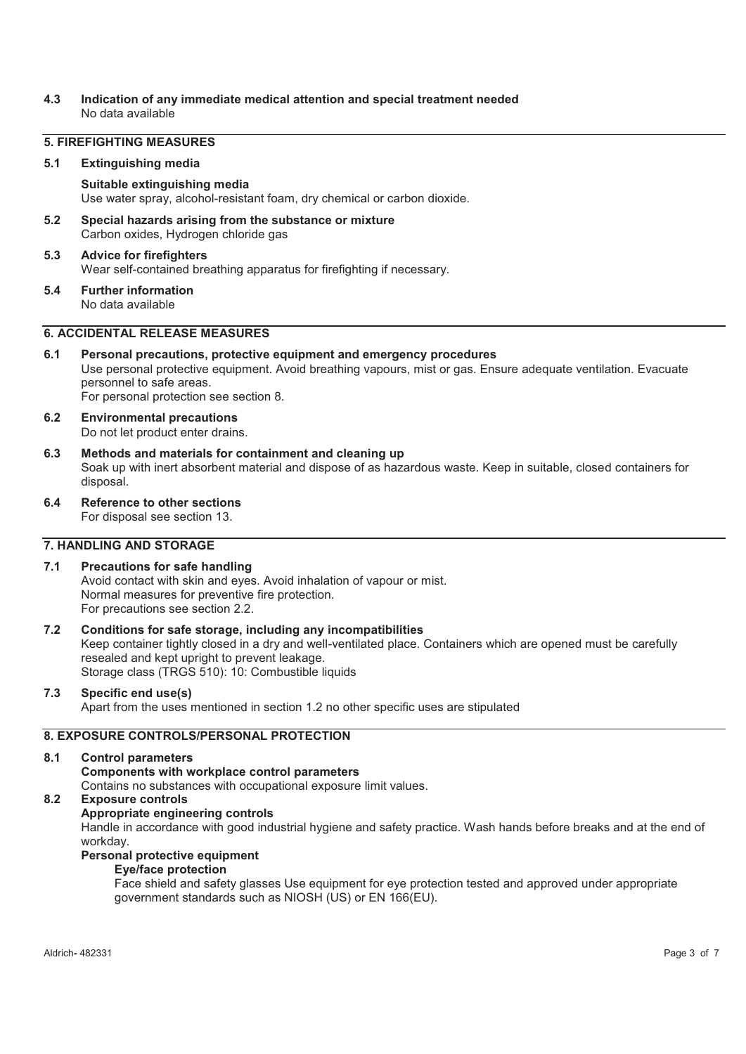### **4.3 Indication of any immediate medical attention and special treatment needed**  No data available

## **5. FIREFIGHTING MEASURES**

#### **5.1 Extinguishing media**

#### **Suitable extinguishing media**

Use water spray, alcohol-resistant foam, dry chemical or carbon dioxide.

**5.2 Special hazards arising from the substance or mixture**  Carbon oxides, Hydrogen chloride gas

### **5.3 Advice for firefighters**  Wear self-contained breathing apparatus for firefighting if necessary.

# **5.4 Further information**

No data available

## **6. ACCIDENTAL RELEASE MEASURES**

#### **6.1 Personal precautions, protective equipment and emergency procedures**  Use personal protective equipment. Avoid breathing vapours, mist or gas. Ensure adequate ventilation. Evacuate personnel to safe areas. For personal protection see section 8.

- **6.2 Environmental precautions**  Do not let product enter drains.
- **6.3 Methods and materials for containment and cleaning up**  Soak up with inert absorbent material and dispose of as hazardous waste. Keep in suitable, closed containers for disposal.
- **6.4 Reference to other sections**  For disposal see section 13.

### **7. HANDLING AND STORAGE**

### **7.1 Precautions for safe handling**

Avoid contact with skin and eyes. Avoid inhalation of vapour or mist. Normal measures for preventive fire protection. For precautions see section 2.2.

## **7.2 Conditions for safe storage, including any incompatibilities**

Keep container tightly closed in a dry and well-ventilated place. Containers which are opened must be carefully resealed and kept upright to prevent leakage. Storage class (TRGS 510): 10: Combustible liquids

### **7.3 Specific end use(s)**

Apart from the uses mentioned in section 1.2 no other specific uses are stipulated

## **8. EXPOSURE CONTROLS/PERSONAL PROTECTION**

#### **8.1 Control parameters**

**Components with workplace control parameters**  Contains no substances with occupational exposure limit values.

## **8.2 Exposure controls**

## **Appropriate engineering controls**

Handle in accordance with good industrial hygiene and safety practice. Wash hands before breaks and at the end of workday.

## **Personal protective equipment**

## **Eye/face protection**

Face shield and safety glasses Use equipment for eye protection tested and approved under appropriate government standards such as NIOSH (US) or EN 166(EU).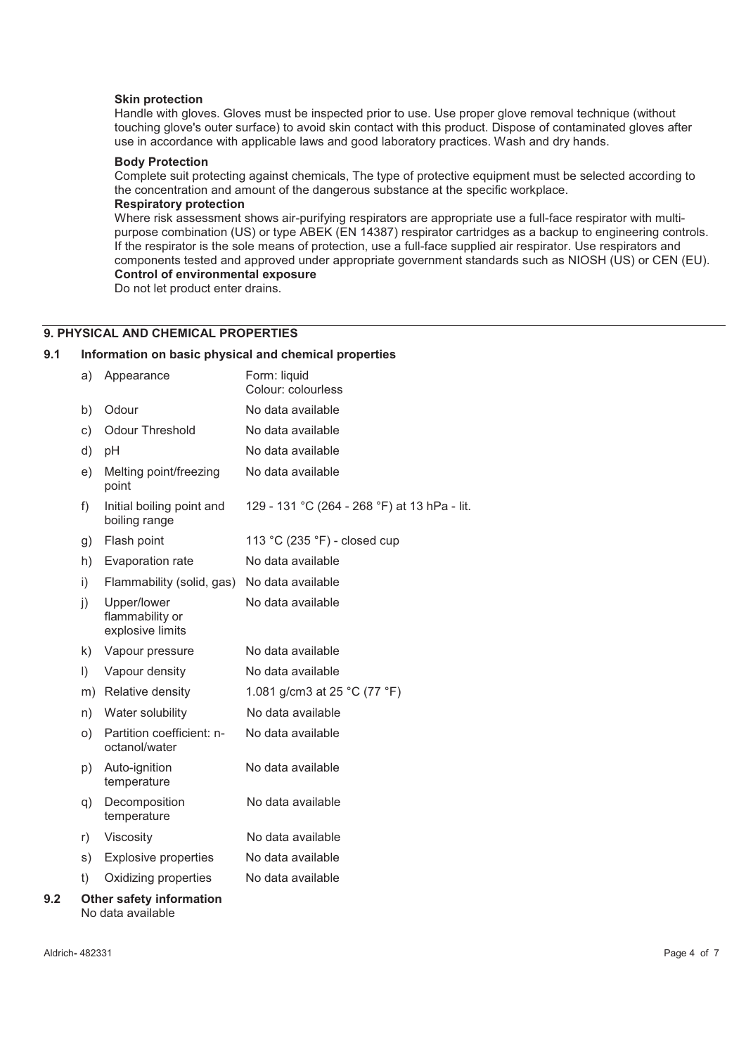#### **Skin protection**

Handle with gloves. Gloves must be inspected prior to use. Use proper glove removal technique (without touching glove's outer surface) to avoid skin contact with this product. Dispose of contaminated gloves after use in accordance with applicable laws and good laboratory practices. Wash and dry hands.

#### **Body Protection**

Complete suit protecting against chemicals, The type of protective equipment must be selected according to the concentration and amount of the dangerous substance at the specific workplace.

### **Respiratory protection**

Where risk assessment shows air-purifying respirators are appropriate use a full-face respirator with multipurpose combination (US) or type ABEK (EN 14387) respirator cartridges as a backup to engineering controls. If the respirator is the sole means of protection, use a full-face supplied air respirator. Use respirators and components tested and approved under appropriate government standards such as NIOSH (US) or CEN (EU). **Control of environmental exposure** 

Do not let product enter drains.

### **9. PHYSICAL AND CHEMICAL PROPERTIES**

#### **9.1 Information on basic physical and chemical properties**

|     | a)           | Appearance                                           | Form: liquid<br>Colour: colourless           |
|-----|--------------|------------------------------------------------------|----------------------------------------------|
|     | b)           | Odour                                                | No data available                            |
|     | c)           | <b>Odour Threshold</b>                               | No data available                            |
|     | d)           | pH                                                   | No data available                            |
|     | e)           | Melting point/freezing<br>point                      | No data available                            |
|     | f)           | Initial boiling point and<br>boiling range           | 129 - 131 °C (264 - 268 °F) at 13 hPa - lit. |
|     | g)           | Flash point                                          | 113 °C (235 °F) - closed cup                 |
|     | h)           | Evaporation rate                                     | No data available                            |
|     | i)           | Flammability (solid, gas)                            | No data available                            |
|     | $\mathbf{i}$ | Upper/lower<br>flammability or<br>explosive limits   | No data available                            |
|     | k)           | Vapour pressure                                      | No data available                            |
|     | $\vert$      | Vapour density                                       | No data available                            |
|     | m)           | Relative density                                     | 1.081 g/cm3 at 25 °C (77 °F)                 |
|     | n)           | Water solubility                                     | No data available                            |
|     | O)           | Partition coefficient: n-<br>octanol/water           | No data available                            |
|     | p)           | Auto-ignition<br>temperature                         | No data available                            |
|     | q)           | Decomposition<br>temperature                         | No data available                            |
|     | r)           | Viscosity                                            | No data available                            |
|     | s)           | <b>Explosive properties</b>                          | No data available                            |
|     | t)           | Oxidizing properties                                 | No data available                            |
| 9.2 |              | <b>Other safety information</b><br>No data available |                                              |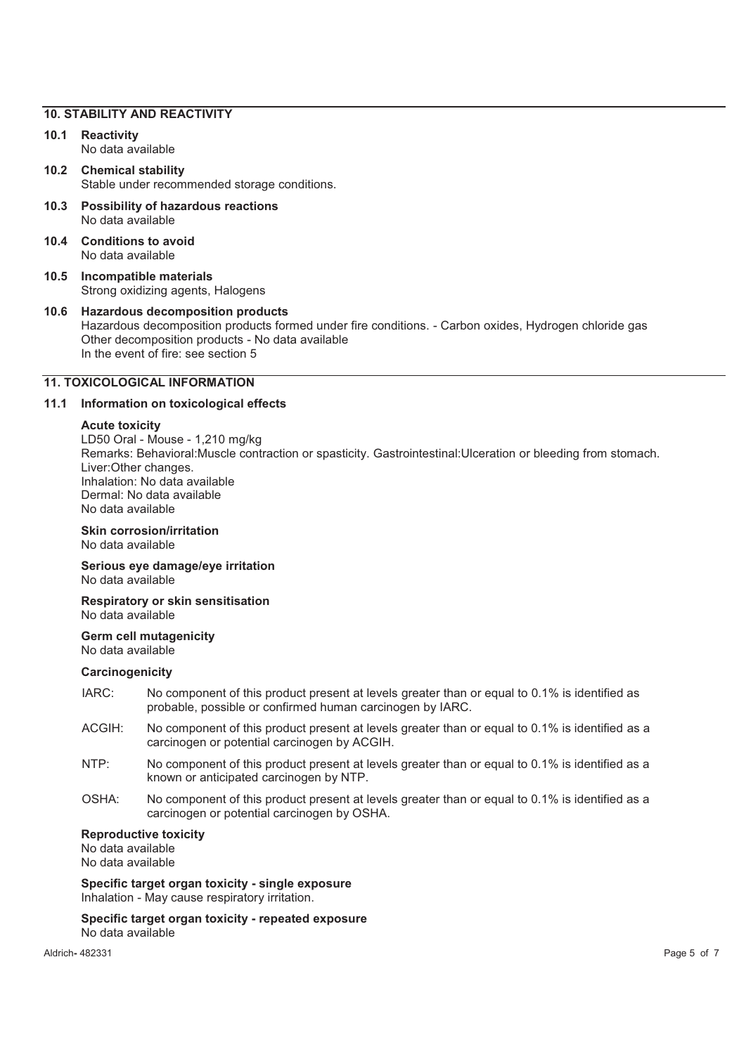#### **10. STABILITY AND REACTIVITY**

- **10.1 Reactivity**  No data available
- **10.2 Chemical stability**  Stable under recommended storage conditions.
- **10.3 Possibility of hazardous reactions**  No data available
- **10.4 Conditions to avoid**  No data available
- **10.5 Incompatible materials**  Strong oxidizing agents, Halogens
- **10.6 Hazardous decomposition products**  Hazardous decomposition products formed under fire conditions. - Carbon oxides, Hydrogen chloride gas Other decomposition products - No data available In the event of fire: see section 5

## **11. TOXICOLOGICAL INFORMATION**

## **11.1 Information on toxicological effects**

#### **Acute toxicity**

LD50 Oral - Mouse - 1,210 mg/kg Remarks: Behavioral:Muscle contraction or spasticity. Gastrointestinal:Ulceration or bleeding from stomach. Liver:Other changes. Inhalation: No data available Dermal: No data available No data available

#### **Skin corrosion/irritation**  No data available

**Serious eye damage/eye irritation**  No data available

**Respiratory or skin sensitisation**  No data available

## **Germ cell mutagenicity**

No data available

#### **Carcinogenicity**

- IARC: No component of this product present at levels greater than or equal to 0.1% is identified as probable, possible or confirmed human carcinogen by IARC.
- ACGIH: No component of this product present at levels greater than or equal to 0.1% is identified as a carcinogen or potential carcinogen by ACGIH.
- NTP: No component of this product present at levels greater than or equal to 0.1% is identified as a known or anticipated carcinogen by NTP.
- OSHA: No component of this product present at levels greater than or equal to 0.1% is identified as a carcinogen or potential carcinogen by OSHA.

**Reproductive toxicity** 

No data available No data available

**Specific target organ toxicity - single exposure**  Inhalation - May cause respiratory irritation.

#### **Specific target organ toxicity - repeated exposure**  No data available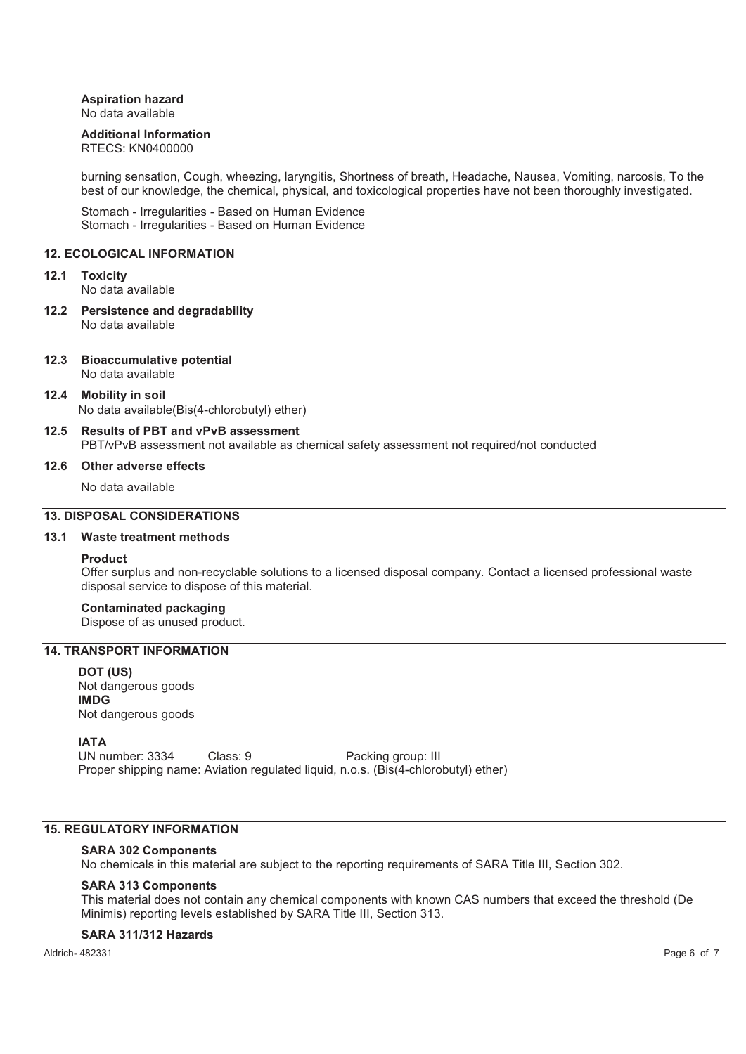## **Aspiration hazard**

No data available

## **Additional Information**

RTECS: KN0400000

burning sensation, Cough, wheezing, laryngitis, Shortness of breath, Headache, Nausea, Vomiting, narcosis, To the best of our knowledge, the chemical, physical, and toxicological properties have not been thoroughly investigated.

Stomach - Irregularities - Based on Human Evidence Stomach - Irregularities - Based on Human Evidence

### **12. ECOLOGICAL INFORMATION**

#### **12.1 Toxicity**

No data available

- **12.2 Persistence and degradability**  No data available
- **12.3 Bioaccumulative potential**  No data available
- **12.4 Mobility in soil**  No data available(Bis(4-chlorobutyl) ether)
- **12.5 Results of PBT and vPvB assessment**  PBT/vPvB assessment not available as chemical safety assessment not required/not conducted

#### **12.6 Other adverse effects**

No data available

## **13. DISPOSAL CONSIDERATIONS**

#### **13.1 Waste treatment methods**

#### **Product**

Offer surplus and non-recyclable solutions to a licensed disposal company. Contact a licensed professional waste disposal service to dispose of this material.

## **Contaminated packaging**

Dispose of as unused product.

## **14. TRANSPORT INFORMATION**

**DOT (US)** Not dangerous goods **IMDG** Not dangerous goods

### **IATA**

UN number: 3334 Class: 9 Packing group: III Proper shipping name: Aviation regulated liquid, n.o.s. (Bis(4-chlorobutyl) ether)

## **15. REGULATORY INFORMATION**

#### **SARA 302 Components**

No chemicals in this material are subject to the reporting requirements of SARA Title III, Section 302.

#### **SARA 313 Components**

This material does not contain any chemical components with known CAS numbers that exceed the threshold (De Minimis) reporting levels established by SARA Title III, Section 313.

### **SARA 311/312 Hazards**

Aldrich**-** 482331 Page 6 of 7